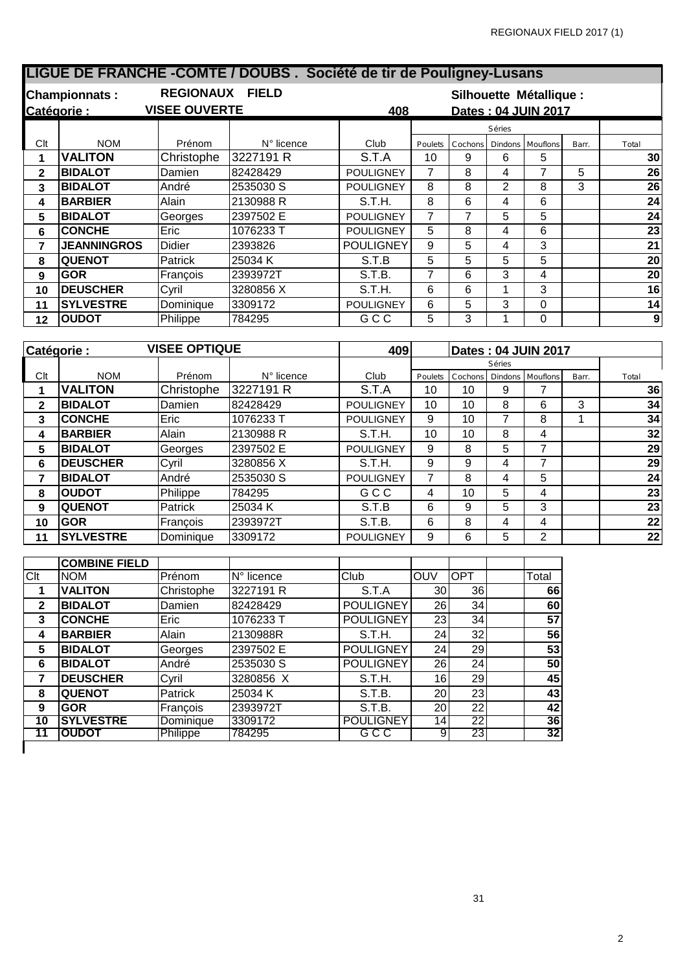|                         |                              |                             | LIGUE DE FRANCHE - COMTE / DOUBS. Société de tir de Pouligney-Lusans |                     |                     |                         |                |                     |                |                 |
|-------------------------|------------------------------|-----------------------------|----------------------------------------------------------------------|---------------------|---------------------|-------------------------|----------------|---------------------|----------------|-----------------|
|                         | <b>Championnats:</b>         | REGIONAUX FIELD             |                                                                      |                     |                     | Silhouette Métallique : |                |                     |                |                 |
| Catégorie:              |                              | <b>VISEE OUVERTE</b><br>408 |                                                                      |                     | Dates: 04 JUIN 2017 |                         |                |                     |                |                 |
|                         |                              |                             |                                                                      |                     |                     |                         | Séries         |                     |                |                 |
| Clt                     | <b>NOM</b>                   | Prénom                      | N° licence                                                           | Club                | Poulets             | Cochons                 | Dindons        | Mouflons            | Barr.          | Total           |
| 1                       | <b>VALITON</b>               | Christophe                  | 3227191 R                                                            | $\overline{S}$ .T.A | 10                  | 9                       | 6              | 5                   |                | 30              |
| $\overline{\mathbf{2}}$ | <b>BIDALOT</b>               | Damien                      | 82428429                                                             | <b>POULIGNEY</b>    | $\overline{7}$      | 8                       | 4              | $\overline{7}$      | 5              | $\overline{26}$ |
| $\overline{\mathbf{3}}$ | <b>BIDALOT</b>               | André                       | 2535030 S                                                            | <b>POULIGNEY</b>    | 8                   | $\overline{8}$          | $\overline{2}$ | 8                   | $\overline{3}$ | $\overline{26}$ |
| $\overline{\mathbf{4}}$ | <b>BARBIER</b>               | Alain                       | 2130988 R                                                            | S.T.H.              | 8                   | $\overline{6}$          | 4              | 6                   |                | $\overline{24}$ |
| 5                       | <b>BIDALOT</b>               | Georges                     | 2397502 E                                                            | <b>POULIGNEY</b>    | $\overline{7}$      | $\overline{7}$          | 5              | 5                   |                | $\overline{24}$ |
| $6\phantom{1}6$         | <b>CONCHE</b>                | Eric                        | 1076233 T                                                            | <b>POULIGNEY</b>    | 5                   | $\overline{8}$          | 4              | 6                   |                | $\overline{23}$ |
| $\overline{7}$          | <b>JEANNINGROS</b>           | <b>Didier</b>               | 2393826                                                              | <b>POULIGNEY</b>    | 9                   | $\overline{5}$          | 4              | 3                   |                | $\overline{21}$ |
| 8                       | <b>QUENOT</b>                | Patrick                     | 25034K                                                               | S.T.B               | 5                   | $\overline{5}$          | 5              | 5                   |                | $\overline{20}$ |
| $\overline{9}$          | <b>GOR</b>                   | François                    | 2393972T                                                             | S.T.B.              | $\overline{7}$      | 6                       | 3              | 4                   |                | $\overline{20}$ |
| 10                      | <b>DEUSCHER</b>              | Cyril                       | 3280856 X                                                            | S.T.H.              | 6                   | 6                       | $\mathbf{1}$   | 3                   |                | $\overline{16}$ |
| 11                      | <b>SYLVESTRE</b>             | Dominique                   | 3309172                                                              | <b>POULIGNEY</b>    | 6                   | 5                       | 3              | $\mathbf 0$         |                | 14              |
| 12                      | <b>OUDOT</b>                 | Philippe                    | 784295                                                               | GCC                 | 5                   | 3                       | 1              | $\Omega$            |                | $\overline{9}$  |
|                         |                              |                             |                                                                      |                     |                     |                         |                |                     |                |                 |
|                         |                              |                             |                                                                      |                     |                     |                         |                |                     |                |                 |
|                         | Catégorie:                   | <b>VISEE OPTIQUE</b>        |                                                                      | 409                 |                     |                         |                | Dates: 04 JUIN 2017 |                |                 |
|                         |                              |                             |                                                                      |                     |                     |                         | Séries         |                     |                |                 |
| Clt                     | <b>NOM</b>                   | Prénom                      | N° licence                                                           | Club                | Poulets             | Cochons                 | Dindons        | Mouflon:            | Barr           | Total           |
| 1                       | <b>VALITON</b>               | Christophe                  | 3227191 R                                                            | S.T.A               | 10                  | 10                      | 9              | $\overline{7}$      |                |                 |
| $\mathbf{2}$            | <b>BIDALOT</b>               | Damien                      | 82428429                                                             | <b>POULIGNEY</b>    | 10                  | 10                      | 8              | 6                   | 3              | 34              |
| 3                       | <b>CONCHE</b>                | Eric                        | 1076233 T                                                            | <b>POULIGNEY</b>    | $\overline{9}$      | 10                      | $\overline{7}$ | 8                   | $\mathbf{1}$   | 34              |
| $\overline{\mathbf{4}}$ | <b>BARBIER</b>               | Alain                       | 2130988 R                                                            | S.T.H.              | 10                  | 10                      | 8              | 4                   |                | $\overline{32}$ |
| 5                       | <b>BIDALOT</b>               | Georges                     | 2397502 E                                                            | <b>POULIGNEY</b>    | $\overline{9}$      | 8                       | $\overline{5}$ | $\overline{7}$      |                | 29              |
| 6                       | <b>DEUSCHER</b>              | Cyril                       | 3280856 X                                                            | S.T.H.              | 9                   | 9                       | 4              | $\overline{7}$      |                | $\overline{29}$ |
| $\overline{7}$          | <b>BIDALOT</b>               | André                       | 2535030 S                                                            | <b>POULIGNEY</b>    | $\overline{7}$      | 8                       | 4              | 5                   |                | $\overline{24}$ |
| 8                       | <b>OUDOT</b>                 | Philippe                    | 784295                                                               | GCC                 | 4                   | 10                      | 5              | $\overline{4}$      |                | $\overline{23}$ |
| 9                       | <b>QUENOT</b>                | Patrick                     | 25034K                                                               | S.T.B               | 6                   | 9                       | 5              | 3                   |                | $\overline{23}$ |
| 10                      | <b>GOR</b>                   | François                    | 2393972T                                                             | S.T.B.              | 6                   | 8                       | 4              | 4                   |                | $\overline{22}$ |
| 11                      | <b>SYLVESTRE</b>             | Dominique                   | 3309172                                                              | <b>POULIGNEY</b>    | 9                   | 6                       | 5              | $\overline{2}$      |                | $\overline{22}$ |
|                         |                              |                             |                                                                      |                     |                     |                         |                |                     |                |                 |
|                         | <b>COMBINE FIELD</b>         |                             |                                                                      |                     |                     |                         |                |                     |                |                 |
| Clt<br>1                | <b>NOM</b><br><b>VALITON</b> | Prénom<br>Christophe        | $N^{\circ}$ licence<br>3227191 R                                     | Club<br>S.T.A       | OUV<br>30           | <b>OPT</b><br>36        |                | Total<br>66         |                | 36              |

 **CONCHE** Eric 1076233 T POULIGNEY 23 34 **57 BARBIER** Alain 2130988R S.T.H. 24 32 **56 BIDALOT** Georges 2397502 E POULIGNEY 24 29 **53 BIDALOT** André 2535030 S POULIGNEY 26 24 **50 DEUSCHER** Cyril 3280856 X S.T.H. 16 29 **45 QUENOT** Patrick 25034 K S.T.B. 20 23 **43 GOR** François 2393972T S.T.B. 20 22 **42 SYLVESTRE** Dominique 3309172 POULIGNEY 14 22 **36 OUDOT** Philippe 784295 G C C 9 23 **32**